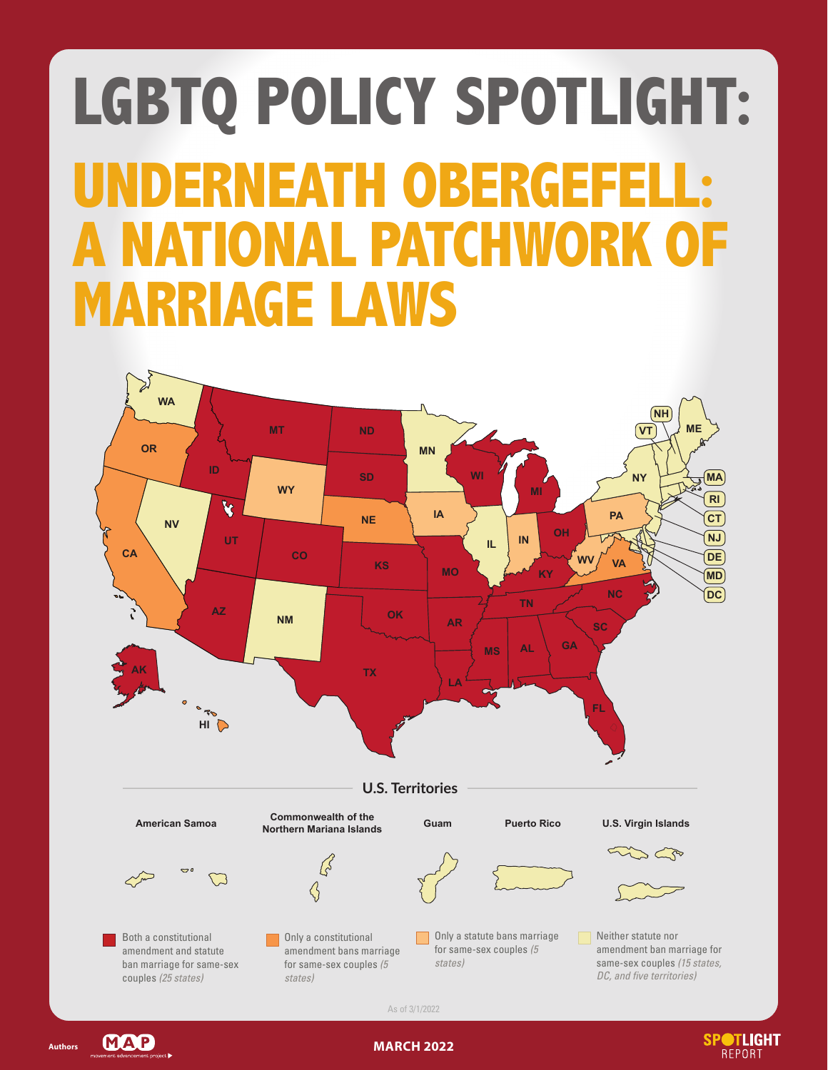# **LGBTQ POLICY SPOTLIGHT: IERNEATH OBERGEFEL IONAL PATCHWORK OF MARRIAGE LAWS**



As of 3/1/2022



**Authors**

**MARCH 2022**

**SPOTLIGHT** 

**REPORT**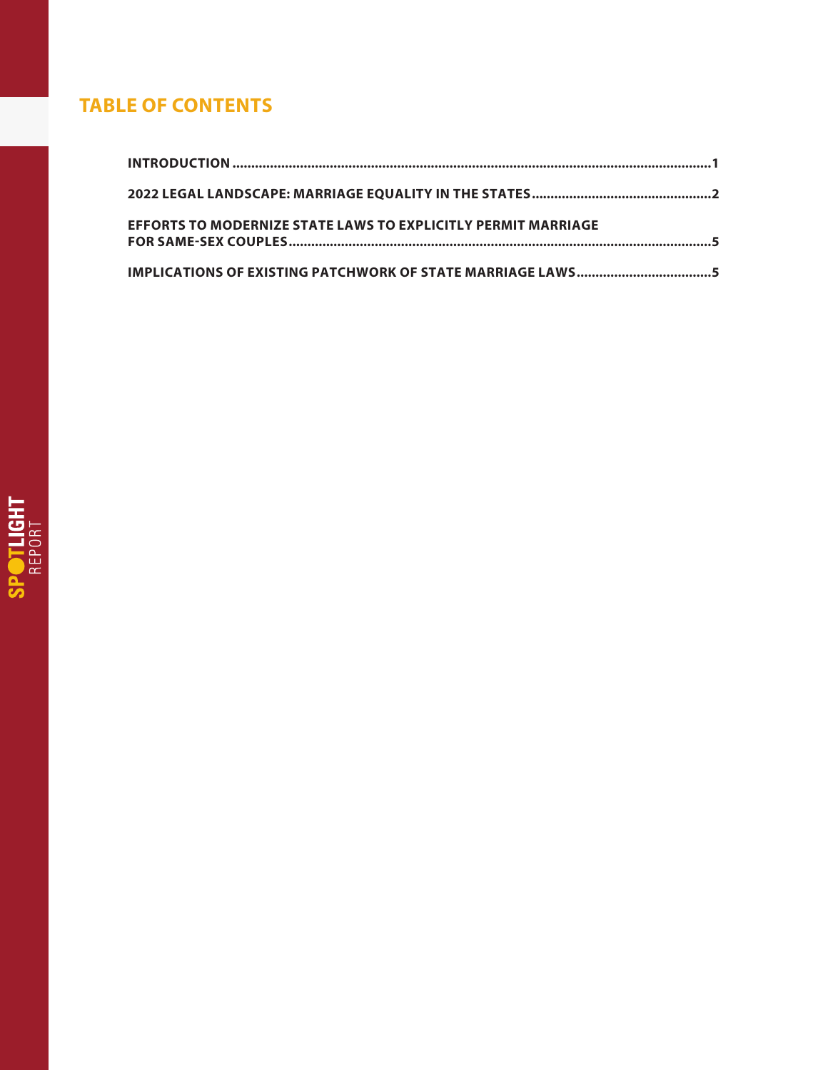## **TABLE OF CONTENTS**

| <b>EFFORTS TO MODERNIZE STATE LAWS TO EXPLICITLY PERMIT MARRIAGE</b> |  |  |
|----------------------------------------------------------------------|--|--|
| IMPLICATIONS OF EXISTING PATCHWORK OF STATE MARRIAGE LAWS5           |  |  |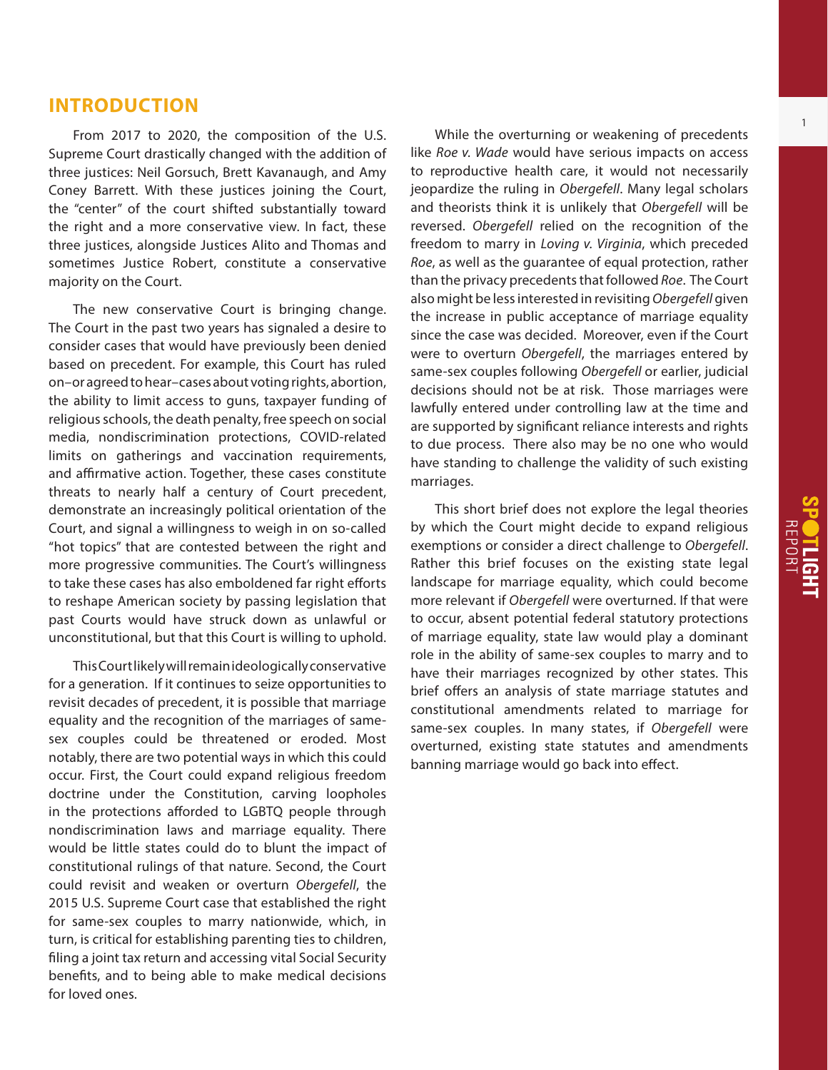#### **INTRODUCTION**

From 2017 to 2020, the composition of the U.S. Supreme Court drastically changed with the addition of three justices: Neil Gorsuch, Brett Kavanaugh, and Amy Coney Barrett. With these justices joining the Court, the "center" of the court shifted substantially toward the right and a more conservative view. In fact, these three justices, alongside Justices Alito and Thomas and sometimes Justice Robert, constitute a conservative majority on the Court.

The new conservative Court is bringing change. The Court in the past two years has signaled a desire to consider cases that would have previously been denied based on precedent. For example, this Court has ruled on–or agreed to hear–cases about voting rights, abortion, the ability to limit access to guns, taxpayer funding of religious schools, the death penalty, free speech on social media, nondiscrimination protections, COVID-related limits on gatherings and vaccination requirements, and affirmative action. Together, these cases constitute threats to nearly half a century of Court precedent, demonstrate an increasingly political orientation of the Court, and signal a willingness to weigh in on so-called "hot topics" that are contested between the right and more progressive communities. The Court's willingness to take these cases has also emboldened far right efforts to reshape American society by passing legislation that past Courts would have struck down as unlawful or unconstitutional, but that this Court is willing to uphold.

This Court likely will remain ideologically conservative for a generation. If it continues to seize opportunities to revisit decades of precedent, it is possible that marriage equality and the recognition of the marriages of samesex couples could be threatened or eroded. Most notably, there are two potential ways in which this could occur. First, the Court could expand religious freedom doctrine under the Constitution, carving loopholes in the protections afforded to LGBTQ people through nondiscrimination laws and marriage equality. There would be little states could do to blunt the impact of constitutional rulings of that nature. Second, the Court could revisit and weaken or overturn *Obergefell*, the 2015 U.S. Supreme Court case that established the right for same-sex couples to marry nationwide, which, in turn, is critical for establishing parenting ties to children, filing a joint tax return and accessing vital Social Security benefits, and to being able to make medical decisions for loved ones.

While the overturning or weakening of precedents like *Roe v. Wade* would have serious impacts on access to reproductive health care, it would not necessarily jeopardize the ruling in *Obergefell*. Many legal scholars and theorists think it is unlikely that *Obergefell* will be reversed. *Obergefell* relied on the recognition of the freedom to marry in *Loving v. Virginia*, which preceded *Roe*, as well as the guarantee of equal protection, rather than the privacy precedents that followed *Roe*. The Court also might be less interested in revisiting *Obergefell* given the increase in public acceptance of marriage equality since the case was decided. Moreover, even if the Court were to overturn *Obergefell*, the marriages entered by same-sex couples following *Obergefell* or earlier, judicial decisions should not be at risk. Those marriages were lawfully entered under controlling law at the time and are supported by significant reliance interests and rights to due process. There also may be no one who would have standing to challenge the validity of such existing marriages.

This short brief does not explore the legal theories by which the Court might decide to expand religious exemptions or consider a direct challenge to *Obergefell*. Rather this brief focuses on the existing state legal landscape for marriage equality, which could become more relevant if *Obergefell* were overturned. If that were to occur, absent potential federal statutory protections of marriage equality, state law would play a dominant role in the ability of same-sex couples to marry and to have their marriages recognized by other states. This brief offers an analysis of state marriage statutes and constitutional amendments related to marriage for same-sex couples. In many states, if *Obergefell* were overturned, existing state statutes and amendments banning marriage would go back into effect.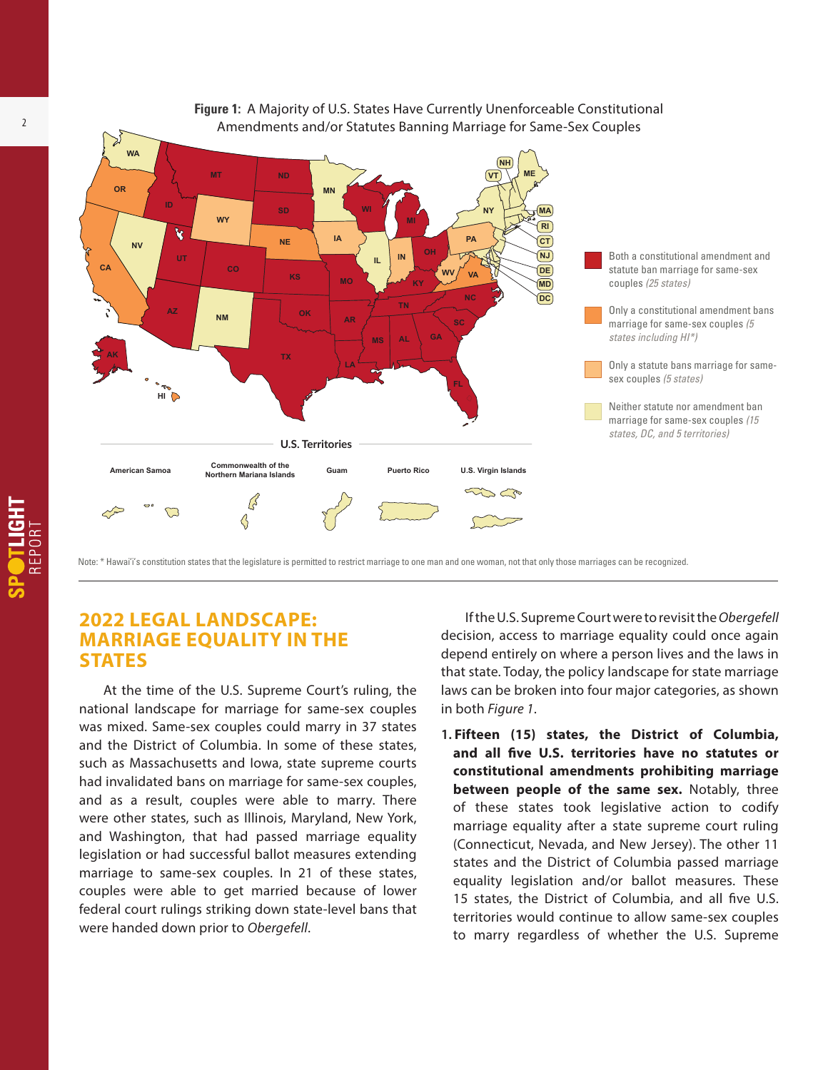

Note: \* Hawai'i's constitution states that the legislature is permitted to restrict marriage to one man and one woman, not that only those marriages can be recognized.

### **2022 LEGAL LANDSCAPE: MARRIAGE EQUALITY IN THE STATES**

At the time of the U.S. Supreme Court's ruling, the national landscape for marriage for same-sex couples was mixed. Same-sex couples could marry in 37 states and the District of Columbia. In some of these states, such as Massachusetts and Iowa, state supreme courts had invalidated bans on marriage for same-sex couples, and as a result, couples were able to marry. There were other states, such as Illinois, Maryland, New York, and Washington, that had passed marriage equality legislation or had successful ballot measures extending marriage to same-sex couples. In 21 of these states, couples were able to get married because of lower federal court rulings striking down state-level bans that were handed down prior to *Obergefell*.

If the U.S. Supreme Court were to revisit the *Obergefell* decision, access to marriage equality could once again depend entirely on where a person lives and the laws in that state. Today, the policy landscape for state marriage laws can be broken into four major categories, as shown in both *Figure 1*.

**1. Fifteen (15) states, the District of Columbia, and all five U.S. territories have no statutes or constitutional amendments prohibiting marriage between people of the same sex.** Notably, three of these states took legislative action to codify marriage equality after a state supreme court ruling (Connecticut, Nevada, and New Jersey). The other 11 states and the District of Columbia passed marriage equality legislation and/or ballot measures. These 15 states, the District of Columbia, and all five U.S. territories would continue to allow same-sex couples to marry regardless of whether the U.S. Supreme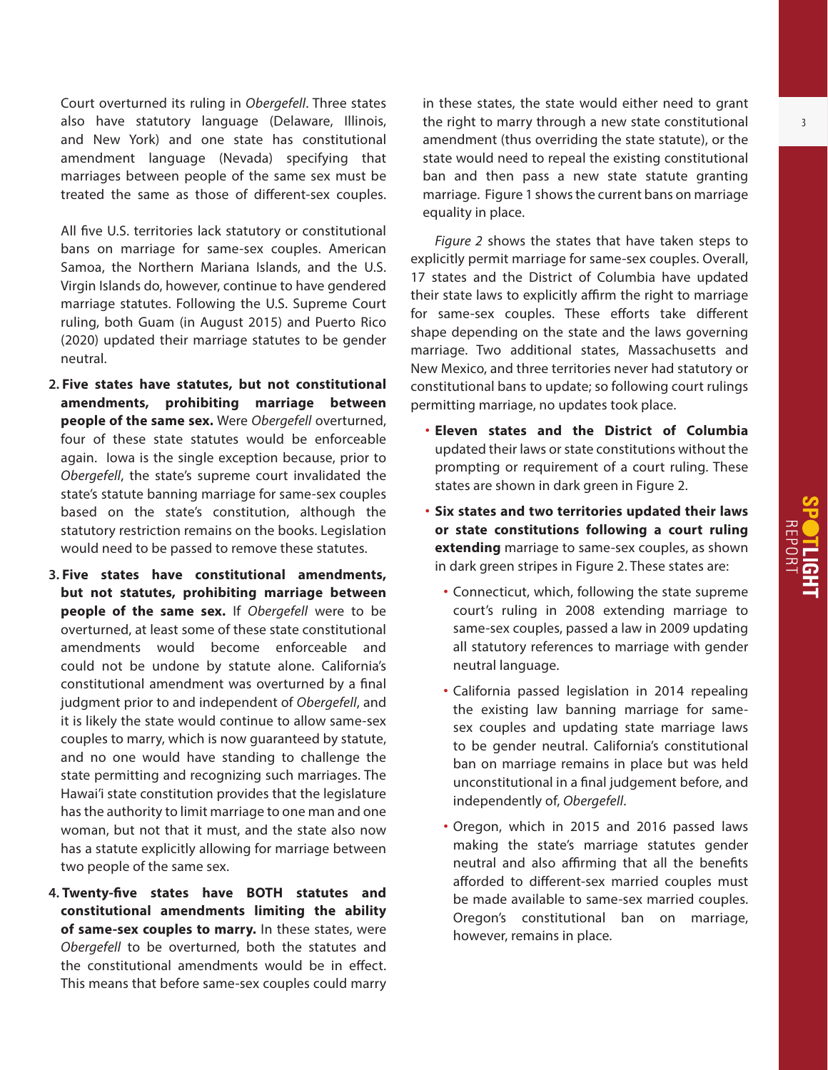Court overturned its ruling in *Obergefell*. Three states also have statutory language (Delaware, Illinois, and New York) and one state has constitutional amendment language (Nevada) specifying that marriages between people of the same sex must be treated the same as those of different-sex couples.

All five U.S. territories lack statutory or constitutional bans on marriage for same-sex couples. American Samoa, the Northern Mariana Islands, and the U.S. Virgin Islands do, however, continue to have gendered marriage statutes. Following the U.S. Supreme Court ruling, both Guam (in August 2015) and Puerto Rico (2020) updated their marriage statutes to be gender neutral.

- **2. Five states have statutes, but not constitutional amendments, prohibiting marriage between people of the same sex.** Were *Obergefell* overturned, four of these state statutes would be enforceable again. Iowa is the single exception because, prior to *Obergefell*, the state's supreme court invalidated the state's statute banning marriage for same-sex couples based on the state's constitution, although the statutory restriction remains on the books. Legislation would need to be passed to remove these statutes.
- **3. Five states have constitutional amendments, but not statutes, prohibiting marriage between people of the same sex.** If *Obergefell* were to be overturned, at least some of these state constitutional amendments would become enforceable and could not be undone by statute alone. California's constitutional amendment was overturned by a final judgment prior to and independent of *Obergefell*, and it is likely the state would continue to allow same-sex couples to marry, which is now guaranteed by statute, and no one would have standing to challenge the state permitting and recognizing such marriages. The Hawai'i state constitution provides that the legislature has the authority to limit marriage to one man and one woman, but not that it must, and the state also now has a statute explicitly allowing for marriage between two people of the same sex.
- **4. Twenty-five states have BOTH statutes and constitutional amendments limiting the ability of same-sex couples to marry.** In these states, were *Obergefell* to be overturned, both the statutes and the constitutional amendments would be in effect. This means that before same-sex couples could marry

in these states, the state would either need to grant the right to marry through a new state constitutional amendment (thus overriding the state statute), or the state would need to repeal the existing constitutional ban and then pass a new state statute granting marriage. Figure 1 shows the current bans on marriage equality in place.

*Figure 2* shows the states that have taken steps to explicitly permit marriage for same-sex couples. Overall, 17 states and the District of Columbia have updated their state laws to explicitly affirm the right to marriage for same-sex couples. These efforts take different shape depending on the state and the laws governing marriage. Two additional states, Massachusetts and New Mexico, and three territories never had statutory or constitutional bans to update; so following court rulings permitting marriage, no updates took place.

- **Eleven states and the District of Columbia** updated their laws or state constitutions without the prompting or requirement of a court ruling. These states are shown in dark green in Figure 2.
- **Six states and two territories updated their laws or state constitutions following a court ruling extending** marriage to same-sex couples, as shown in dark green stripes in Figure 2. These states are:
	- Connecticut, which, following the state supreme court's ruling in 2008 extending marriage to same-sex couples, passed a law in 2009 updating all statutory references to marriage with gender neutral language.
	- California passed legislation in 2014 repealing the existing law banning marriage for samesex couples and updating state marriage laws to be gender neutral. California's constitutional ban on marriage remains in place but was held unconstitutional in a final judgement before, and independently of, *Obergefell*.
	- Oregon, which in 2015 and 2016 passed laws making the state's marriage statutes gender neutral and also affirming that all the benefits afforded to different-sex married couples must be made available to same-sex married couples. Oregon's constitutional ban on marriage, however, remains in place.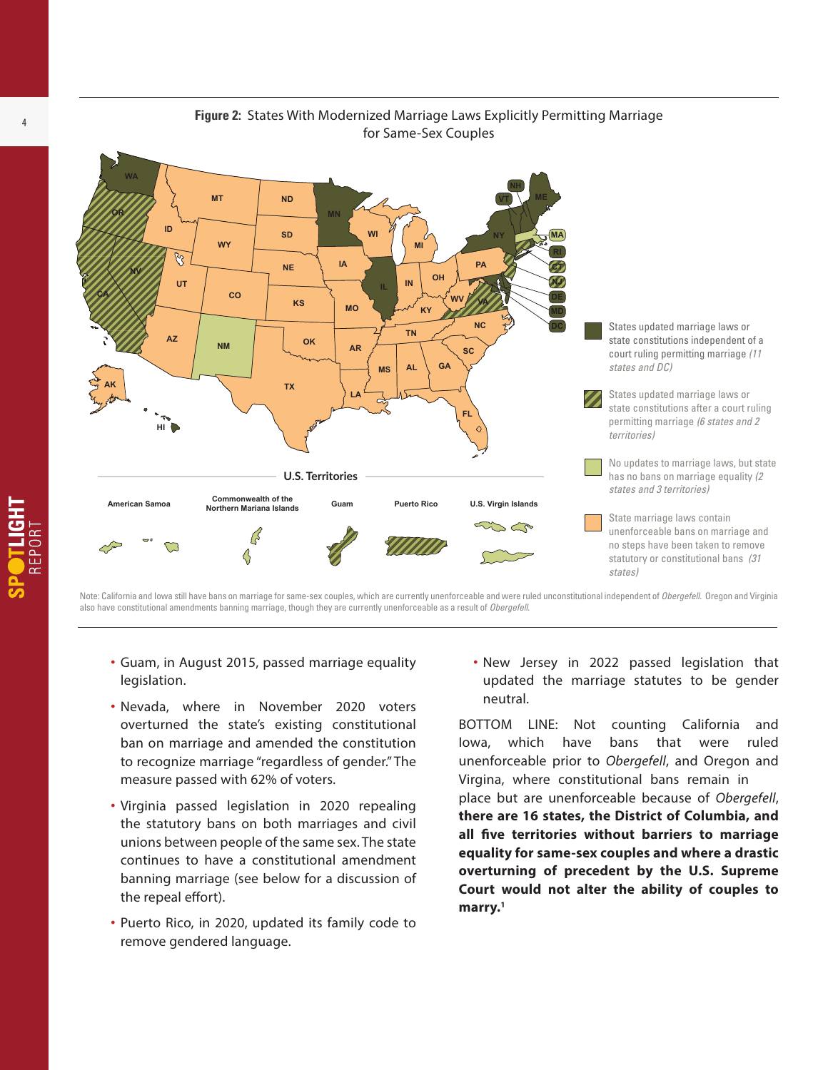

.<br>Note: California and Iowa still have bans on marriage for same-sex couples, which are currently unenforceable and were ruled unconstitutional independent of *Obergefell*. Oregon and Virginia also have constitutional amendments banning marriage, though they are currently unenforceable as a result of *Obergefell*.

- Guam, in August 2015, passed marriage equality legislation.
- Nevada, where in November 2020 voters overturned the state's existing constitutional ban on marriage and amended the constitution to recognize marriage "regardless of gender." The measure passed with 62% of voters.
- Virginia passed legislation in 2020 repealing the statutory bans on both marriages and civil unions between people of the same sex. The state continues to have a constitutional amendment banning marriage (see below for a discussion of the repeal effort).
- Puerto Rico, in 2020, updated its family code to remove gendered language.

• New Jersey in 2022 passed legislation that updated the marriage statutes to be gender neutral.

BOTTOM LINE: Not counting California and Iowa, which have bans that were ruled unenforceable prior to *Obergefell*, and Oregon and Virgina, where constitutional bans remain in

place but are unenforceable because of *Obergefell*, **there are 16 states, the District of Columbia, and all five territories without barriers to marriage equality for same-sex couples and where a drastic overturning of precedent by the U.S. Supreme Court would not alter the ability of couples to marry.1**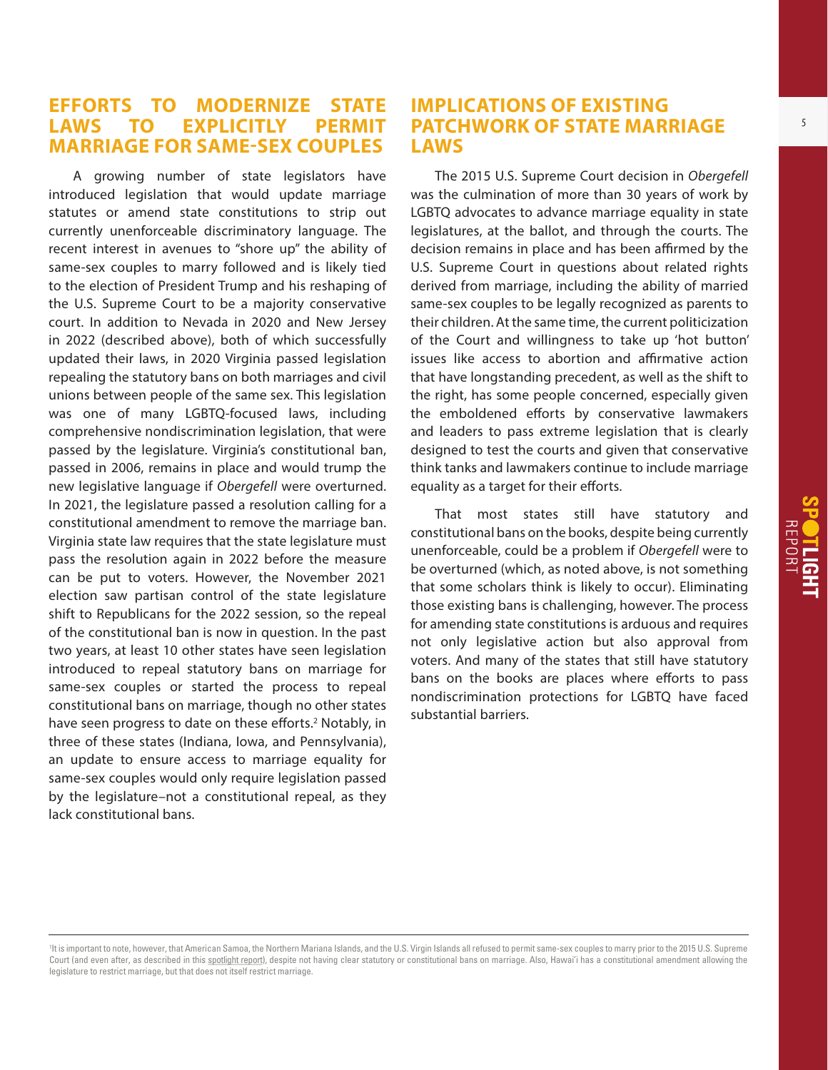#### **EFFORTS TO MODERNIZE STATE LAWS TO EXPLICITLY PERMIT MARRIAGE FOR SAME-SEX COUPLES**

A growing number of state legislators have introduced legislation that would update marriage statutes or amend state constitutions to strip out currently unenforceable discriminatory language. The recent interest in avenues to "shore up" the ability of same-sex couples to marry followed and is likely tied to the election of President Trump and his reshaping of the U.S. Supreme Court to be a majority conservative court. In addition to Nevada in 2020 and New Jersey in 2022 (described above), both of which successfully updated their laws, in 2020 Virginia passed legislation repealing the statutory bans on both marriages and civil unions between people of the same sex. This legislation was one of many LGBTQ-focused laws, including comprehensive nondiscrimination legislation, that were passed by the legislature. Virginia's constitutional ban, passed in 2006, remains in place and would trump the new legislative language if *Obergefell* were overturned. In 2021, the legislature passed a resolution calling for a constitutional amendment to remove the marriage ban. Virginia state law requires that the state legislature must pass the resolution again in 2022 before the measure can be put to voters. However, the November 2021 election saw partisan control of the state legislature shift to Republicans for the 2022 session, so the repeal of the constitutional ban is now in question. In the past two years, at least 10 other states have seen legislation introduced to repeal statutory bans on marriage for same-sex couples or started the process to repeal constitutional bans on marriage, though no other states have seen progress to date on these efforts.<sup>2</sup> Notably, in three of these states (Indiana, Iowa, and Pennsylvania), an update to ensure access to marriage equality for same-sex couples would only require legislation passed by the legislature–not a constitutional repeal, as they lack constitutional bans.

#### **IMPLICATIONS OF EXISTING PATCHWORK OF STATE MARRIAGE LAWS**

The 2015 U.S. Supreme Court decision in *Obergefell* was the culmination of more than 30 years of work by LGBTQ advocates to advance marriage equality in state legislatures, at the ballot, and through the courts. The decision remains in place and has been affirmed by the U.S. Supreme Court in questions about related rights derived from marriage, including the ability of married same-sex couples to be legally recognized as parents to their children. At the same time, the current politicization of the Court and willingness to take up 'hot button' issues like access to abortion and affirmative action that have longstanding precedent, as well as the shift to the right, has some people concerned, especially given the emboldened efforts by conservative lawmakers and leaders to pass extreme legislation that is clearly designed to test the courts and given that conservative think tanks and lawmakers continue to include marriage equality as a target for their efforts.

That most states still have statutory and constitutional bans on the books, despite being currently unenforceable, could be a problem if *Obergefell* were to be overturned (which, as noted above, is not something that some scholars think is likely to occur). Eliminating those existing bans is challenging, however. The process for amending state constitutions is arduous and requires not only legislative action but also approval from voters. And many of the states that still have statutory bans on the books are places where efforts to pass nondiscrimination protections for LGBTQ have faced substantial barriers.

<sup>1</sup> It is important to note, however, that American Samoa, the Northern Mariana Islands, and the U.S. Virgin Islands all refused to permit same-sex couples to marry prior to the 2015 U.S. Supreme Court (and even after, as described in this [spotlight report\)](https://www.lgbtmap.org/file/spotlight-us-territories.pdf), despite not having clear statutory or constitutional bans on marriage. Also, Hawai'i has a constitutional amendment allowing the legislature to restrict marriage, but that does not itself restrict marriage.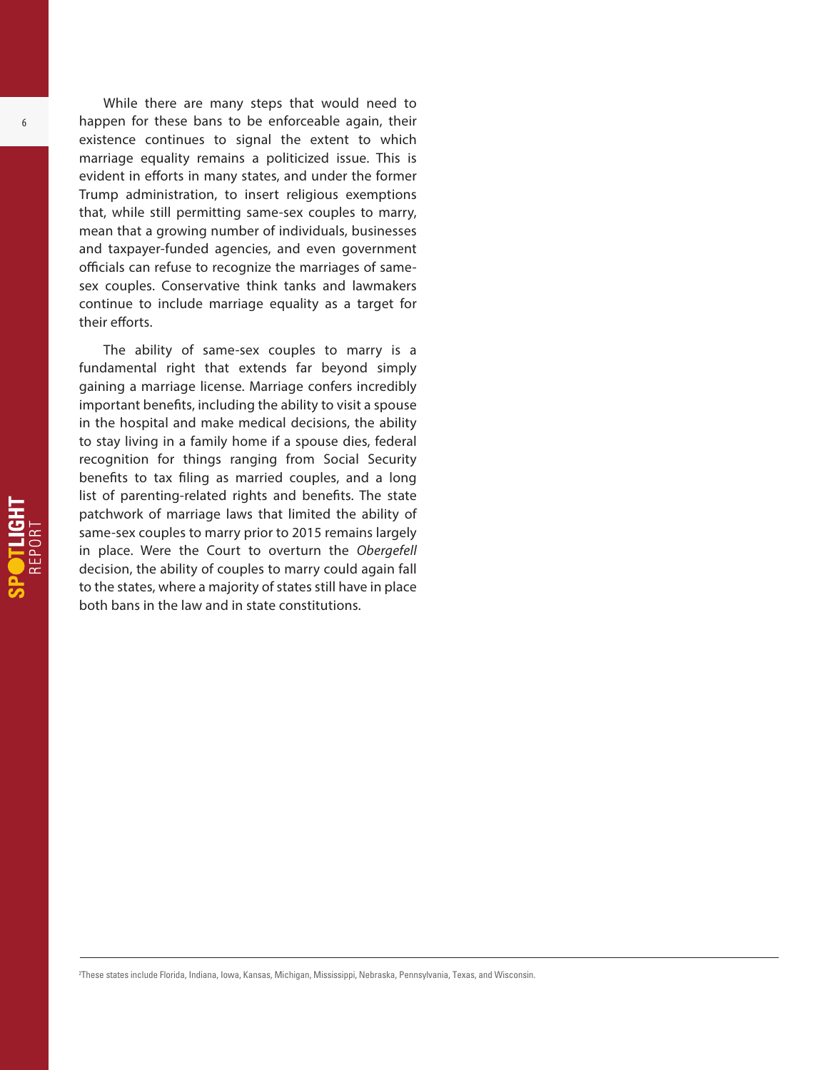While there are many steps that would need to happen for these bans to be enforceable again, their existence continues to signal the extent to which marriage equality remains a politicized issue. This is evident in efforts in many states, and under the former Trump administration, to insert religious exemptions that, while still permitting same-sex couples to marry, mean that a growing number of individuals, businesses and taxpayer-funded agencies, and even government officials can refuse to recognize the marriages of samesex couples. Conservative think tanks and lawmakers continue to include marriage equality as a target for their efforts.

The ability of same-sex couples to marry is a fundamental right that extends far beyond simply gaining a marriage license. Marriage confers incredibly important benefits, including the ability to visit a spouse in the hospital and make medical decisions, the ability to stay living in a family home if a spouse dies, federal recognition for things ranging from Social Security benefits to tax filing as married couples, and a long list of parenting-related rights and benefits. The state patchwork of marriage laws that limited the ability of same-sex couples to marry prior to 2015 remains largely in place. Were the Court to overturn the *Obergefell* decision, the ability of couples to marry could again fall to the states, where a majority of states still have in place both bans in the law and in state constitutions.